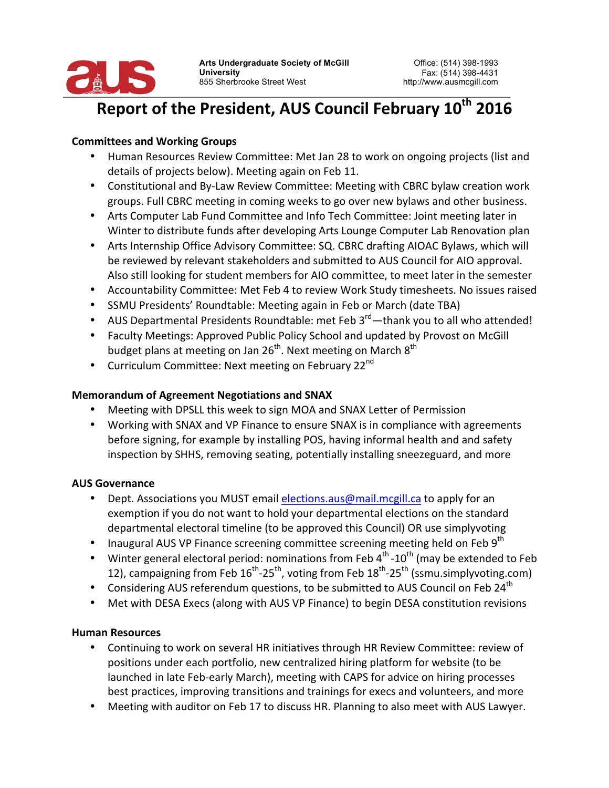

# Report of the President, AUS Council February 10<sup>th</sup> 2016

## **Committees and Working Groups**

- Human Resources Review Committee: Met Jan 28 to work on ongoing projects (list and details of projects below). Meeting again on Feb 11.
- Constitutional and By-Law Review Committee: Meeting with CBRC bylaw creation work groups. Full CBRC meeting in coming weeks to go over new bylaws and other business.
- Arts Computer Lab Fund Committee and Info Tech Committee: Joint meeting later in Winter to distribute funds after developing Arts Lounge Computer Lab Renovation plan
- Arts Internship Office Advisory Committee: SQ. CBRC drafting AIOAC Bylaws, which will be reviewed by relevant stakeholders and submitted to AUS Council for AIO approval. Also still looking for student members for AIO committee, to meet later in the semester
- Accountability Committee: Met Feb 4 to review Work Study timesheets. No issues raised
- SSMU Presidents' Roundtable: Meeting again in Feb or March (date TBA)
- AUS Departmental Presidents Roundtable: met Feb  $3^{rd}$ —thank you to all who attended!
- Faculty Meetings: Approved Public Policy School and updated by Provost on McGill budget plans at meeting on Jan 26<sup>th</sup>. Next meeting on March  $8<sup>th</sup>$
- Curriculum Committee: Next meeting on February 22<sup>nd</sup>

## **Memorandum of Agreement Negotiations and SNAX**

- Meeting with DPSLL this week to sign MOA and SNAX Letter of Permission
- Working with SNAX and VP Finance to ensure SNAX is in compliance with agreements before signing, for example by installing POS, having informal health and and safety inspection by SHHS, removing seating, potentially installing sneezeguard, and more

## **AUS Governance**

- Dept. Associations you MUST email elections.aus@mail.mcgill.ca to apply for an exemption if you do not want to hold your departmental elections on the standard departmental electoral timeline (to be approved this Council) OR use simplyvoting
- Inaugural AUS VP Finance screening committee screening meeting held on Feb 9<sup>th</sup>
- Winter general electoral period: nominations from Feb  $4^{th}$  -10<sup>th</sup> (may be extended to Feb 12), campaigning from Feb  $16^{th}$ -25<sup>th</sup>, voting from Feb  $18^{th}$ -25<sup>th</sup> (ssmu.simplyvoting.com)
- Considering AUS referendum questions, to be submitted to AUS Council on Feb 24<sup>th</sup>
- Met with DESA Execs (along with AUS VP Finance) to begin DESA constitution revisions

## **Human Resources**

- Continuing to work on several HR initiatives through HR Review Committee: review of positions under each portfolio, new centralized hiring platform for website (to be launched in late Feb-early March), meeting with CAPS for advice on hiring processes best practices, improving transitions and trainings for execs and volunteers, and more
- Meeting with auditor on Feb 17 to discuss HR. Planning to also meet with AUS Lawyer.